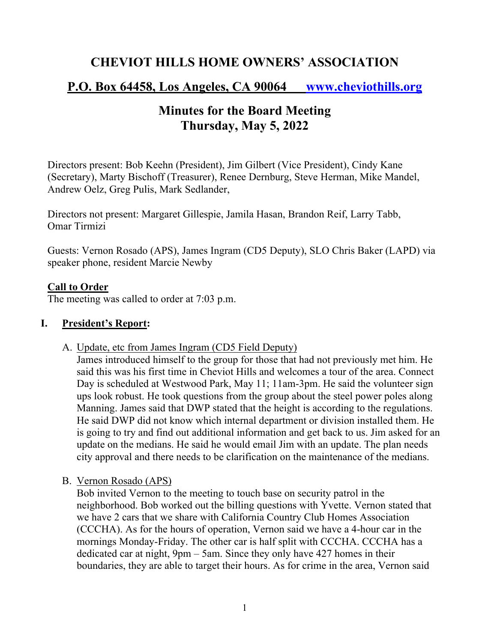## **CHEVIOT HILLS HOME OWNERS' ASSOCIATION**

# **P.O. Box 64458, Los Angeles, CA 90064 www.cheviothills.org**

# **Minutes for the Board Meeting Thursday, May 5, 2022**

Directors present: Bob Keehn (President), Jim Gilbert (Vice President), Cindy Kane (Secretary), Marty Bischoff (Treasurer), Renee Dernburg, Steve Herman, Mike Mandel, Andrew Oelz, Greg Pulis, Mark Sedlander,

Directors not present: Margaret Gillespie, Jamila Hasan, Brandon Reif, Larry Tabb, Omar Tirmizi

Guests: Vernon Rosado (APS), James Ingram (CD5 Deputy), SLO Chris Baker (LAPD) via speaker phone, resident Marcie Newby

#### **Call to Order**

The meeting was called to order at 7:03 p.m.

#### **I. President's Report:**

A. Update, etc from James Ingram (CD5 Field Deputy)

James introduced himself to the group for those that had not previously met him. He said this was his first time in Cheviot Hills and welcomes a tour of the area. Connect Day is scheduled at Westwood Park, May 11; 11am-3pm. He said the volunteer sign ups look robust. He took questions from the group about the steel power poles along Manning. James said that DWP stated that the height is according to the regulations. He said DWP did not know which internal department or division installed them. He is going to try and find out additional information and get back to us. Jim asked for an update on the medians. He said he would email Jim with an update. The plan needs city approval and there needs to be clarification on the maintenance of the medians.

B. Vernon Rosado (APS)

Bob invited Vernon to the meeting to touch base on security patrol in the neighborhood. Bob worked out the billing questions with Yvette. Vernon stated that we have 2 cars that we share with California Country Club Homes Association (CCCHA). As for the hours of operation, Vernon said we have a 4-hour car in the mornings Monday-Friday. The other car is half split with CCCHA. CCCHA has a dedicated car at night, 9pm – 5am. Since they only have 427 homes in their boundaries, they are able to target their hours. As for crime in the area, Vernon said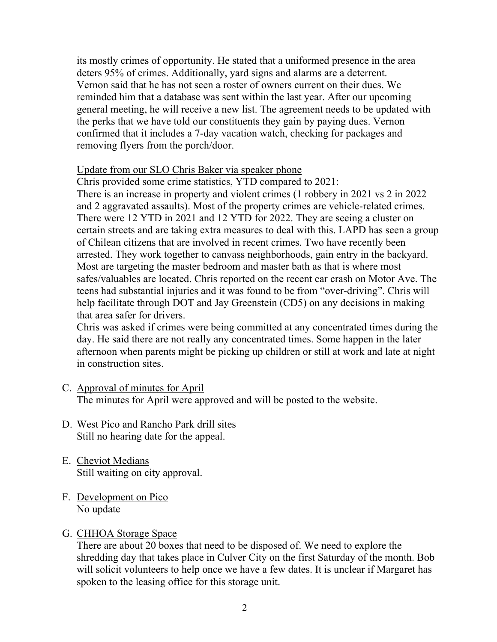its mostly crimes of opportunity. He stated that a uniformed presence in the area deters 95% of crimes. Additionally, yard signs and alarms are a deterrent. Vernon said that he has not seen a roster of owners current on their dues. We reminded him that a database was sent within the last year. After our upcoming general meeting, he will receive a new list. The agreement needs to be updated with the perks that we have told our constituents they gain by paying dues. Vernon confirmed that it includes a 7-day vacation watch, checking for packages and removing flyers from the porch/door.

#### Update from our SLO Chris Baker via speaker phone

Chris provided some crime statistics, YTD compared to 2021: There is an increase in property and violent crimes (1 robbery in 2021 vs 2 in 2022 and 2 aggravated assaults). Most of the property crimes are vehicle-related crimes. There were 12 YTD in 2021 and 12 YTD for 2022. They are seeing a cluster on certain streets and are taking extra measures to deal with this. LAPD has seen a group of Chilean citizens that are involved in recent crimes. Two have recently been arrested. They work together to canvass neighborhoods, gain entry in the backyard. Most are targeting the master bedroom and master bath as that is where most safes/valuables are located. Chris reported on the recent car crash on Motor Ave. The teens had substantial injuries and it was found to be from "over-driving". Chris will help facilitate through DOT and Jay Greenstein (CD5) on any decisions in making that area safer for drivers.

Chris was asked if crimes were being committed at any concentrated times during the day. He said there are not really any concentrated times. Some happen in the later afternoon when parents might be picking up children or still at work and late at night in construction sites.

- C. Approval of minutes for April The minutes for April were approved and will be posted to the website.
- D. West Pico and Rancho Park drill sites Still no hearing date for the appeal.
- E. Cheviot Medians Still waiting on city approval.
- F. Development on Pico No update

### G. CHHOA Storage Space

There are about 20 boxes that need to be disposed of. We need to explore the shredding day that takes place in Culver City on the first Saturday of the month. Bob will solicit volunteers to help once we have a few dates. It is unclear if Margaret has spoken to the leasing office for this storage unit.